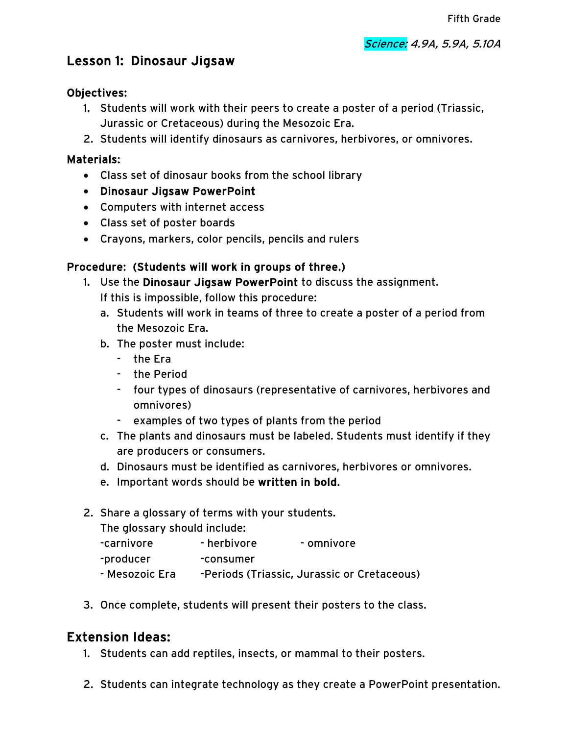# Lesson 1: Dinosaur Jigsaw

### Objectives:

- 1. Students will work with their peers to create a poster of a period (Triassic, Jurassic or Cretaceous) during the Mesozoic Era.
- 2. Students will identify dinosaurs as carnivores, herbivores, or omnivores.

### Materials:

- Class set of dinosaur books from the school library
- Dinosaur Jigsaw PowerPoint
- Computers with internet access
- Class set of poster boards
- Crayons, markers, color pencils, pencils and rulers

## Procedure: (Students will work in groups of three.)

- 1. Use the Dinosaur Jigsaw PowerPoint to discuss the assignment. If this is impossible, follow this procedure:
	- a. Students will work in teams of three to create a poster of a period from the Mesozoic Era.
	- b. The poster must include:
		- the Era
		- the Period
		- four types of dinosaurs (representative of carnivores, herbivores and omnivores)
		- examples of two types of plants from the period
	- c. The plants and dinosaurs must be labeled. Students must identify if they are producers or consumers.
	- d. Dinosaurs must be identified as carnivores, herbivores or omnivores.
	- e. Important words should be written in bold.
- 2. Share a glossary of terms with your students.

The glossary should include:

- -carnivore herbivore omnivore -producer -consumer - Mesozoic Era -Periods (Triassic, Jurassic or Cretaceous)
- 3. Once complete, students will present their posters to the class.

# Extension Ideas:

- 1. Students can add reptiles, insects, or mammal to their posters.
- 2. Students can integrate technology as they create a PowerPoint presentation.